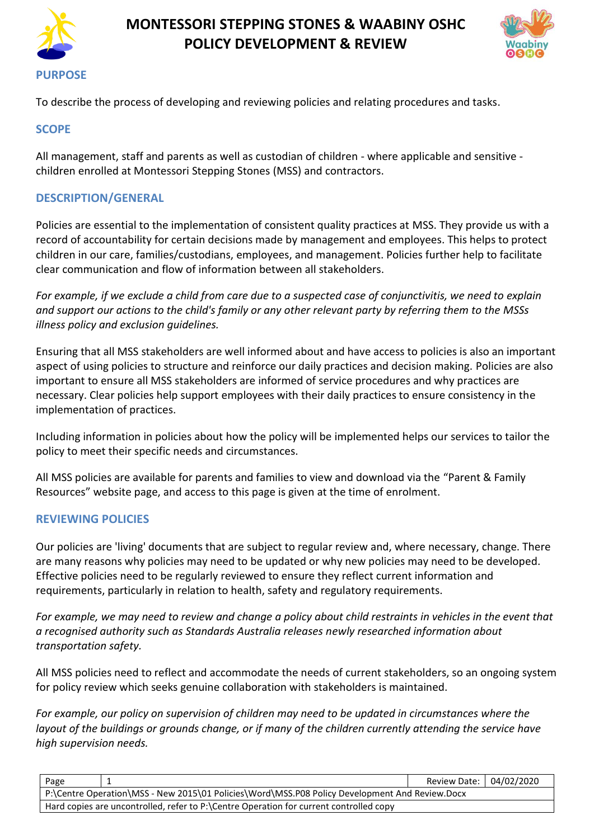

# **MONTESSORI STEPPING STONES & WAABINY OSHC POLICY DEVELOPMENT & REVIEW**



To describe the process of developing and reviewing policies and relating procedures and tasks.

#### **SCOPE**

All management, staff and parents as well as custodian of children - where applicable and sensitive children enrolled at Montessori Stepping Stones (MSS) and contractors.

#### **DESCRIPTION/GENERAL**

Policies are essential to the implementation of consistent quality practices at MSS. They provide us with a record of accountability for certain decisions made by management and employees. This helps to protect children in our care, families/custodians, employees, and management. Policies further help to facilitate clear communication and flow of information between all stakeholders.

*For example, if we exclude a child from care due to a suspected case of conjunctivitis, we need to explain and support our actions to the child's family or any other relevant party by referring them to the MSSs illness policy and exclusion guidelines.* 

Ensuring that all MSS stakeholders are well informed about and have access to policies is also an important aspect of using policies to structure and reinforce our daily practices and decision making. Policies are also important to ensure all MSS stakeholders are informed of service procedures and why practices are necessary. Clear policies help support employees with their daily practices to ensure consistency in the implementation of practices.

Including information in policies about how the policy will be implemented helps our services to tailor the policy to meet their specific needs and circumstances.

All MSS policies are available for parents and families to view and download via the "Parent & Family Resources" website page, and access to this page is given at the time of enrolment.

#### **REVIEWING POLICIES**

Our policies are 'living' documents that are subject to regular review and, where necessary, change. There are many reasons why policies may need to be updated or why new policies may need to be developed. Effective policies need to be regularly reviewed to ensure they reflect current information and requirements, particularly in relation to health, safety and regulatory requirements.

*For example, we may need to review and change a policy about child restraints in vehicles in the event that a recognised authority such as Standards Australia releases newly researched information about transportation safety.*

All MSS policies need to reflect and accommodate the needs of current stakeholders, so an ongoing system for policy review which seeks genuine collaboration with stakeholders is maintained.

*For example, our policy on supervision of children may need to be updated in circumstances where the layout of the buildings or grounds change, or if many of the children currently attending the service have high supervision needs.*

| Page                                                                                           |  | Review Date:   04/02/2020 |  |  |  |
|------------------------------------------------------------------------------------------------|--|---------------------------|--|--|--|
| P:\Centre Operation\MSS - New 2015\01 Policies\Word\MSS.P08 Policy Development And Review.Docx |  |                           |  |  |  |
| Hard copies are uncontrolled, refer to P:\Centre Operation for current controlled copy         |  |                           |  |  |  |